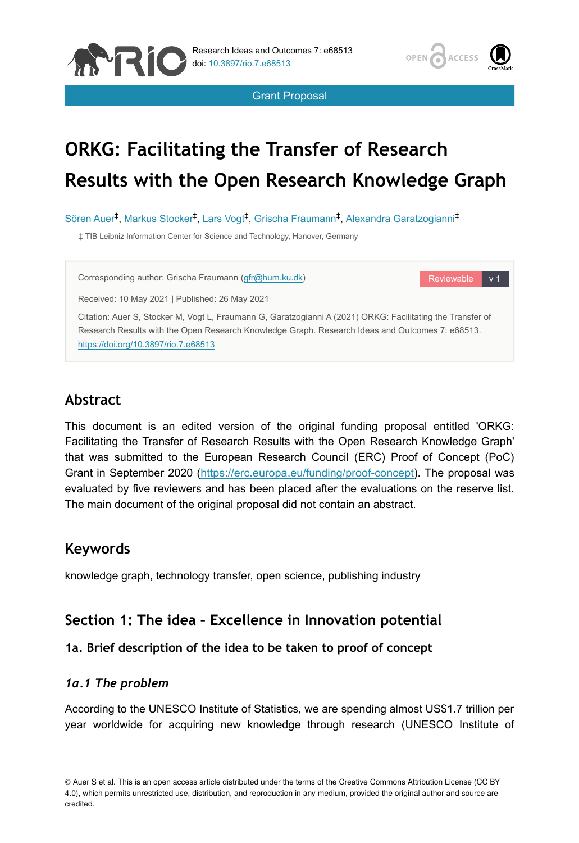





Reviewable v 1

# **ORKG: Facilitating the Transfer of Research Results with the Open Research Knowledge Graph**

Sören Auer<sup>‡</sup>, Markus Stocker<sup>‡</sup>, Lars Vogt<sup>‡</sup>, Grischa Fraumann<sup>‡</sup>, Alexandra Garatzogianni<sup>‡</sup>

‡ TIB Leibniz Information Center for Science and Technology, Hanover, Germany

Corresponding author: Grischa Fraumann ([gfr@hum.ku.dk](mailto:gfr@hum.ku.dk))

Received: 10 May 2021 | Published: 26 May 2021

Citation: Auer S, Stocker M, Vogt L, Fraumann G, Garatzogianni A (2021) ORKG: Facilitating the Transfer of Research Results with the Open Research Knowledge Graph. Research Ideas and Outcomes 7: e68513. <https://doi.org/10.3897/rio.7.e68513>

# **Abstract**

This document is an edited version of the original funding proposal entitled 'ORKG: Facilitating the Transfer of Research Results with the Open Research Knowledge Graph' that was submitted to the European Research Council (ERC) Proof of Concept (PoC) Grant in September 2020 (<https://erc.europa.eu/funding/proof-concept>). The proposal was evaluated by five reviewers and has been placed after the evaluations on the reserve list. The main document of the original proposal did not contain an abstract.

# **Keywords**

knowledge graph, technology transfer, open science, publishing industry

# **Section 1: The idea – Excellence in Innovation potential**

### **1a. Brief description of the idea to be taken to proof of concept**

### *1a.1 The problem*

According to the UNESCO Institute of Statistics, we are spending almost US\$1.7 trillion per year worldwide for acquiring new knowledge through research (UNESCO Institute of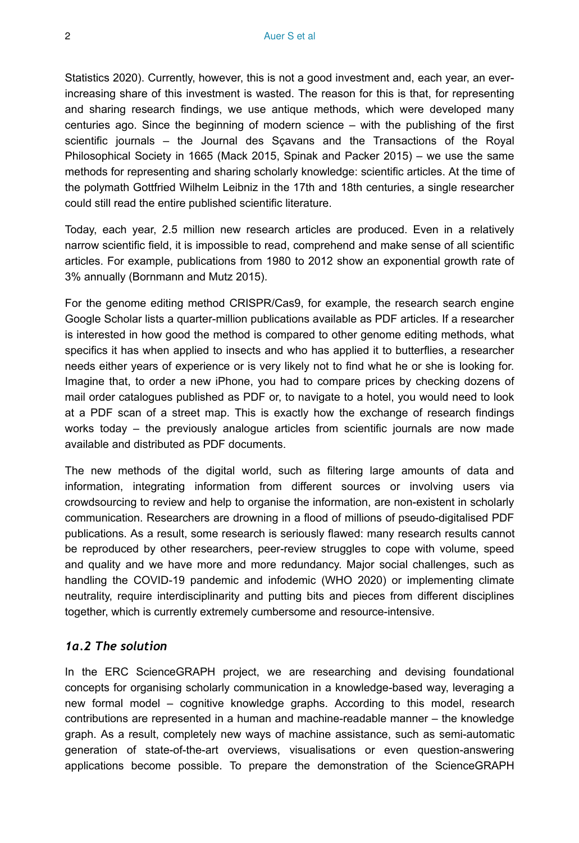Statistics 2020). Currently, however, this is not a good investment and, each year, an everincreasing share of this investment is wasted. The reason for this is that, for representing and sharing research findings, we use antique methods, which were developed many centuries ago. Since the beginning of modern science – with the publishing of the first scientific journals – the Journal des Sçavans and the Transactions of the Royal Philosophical Society in 1665 (Mack 2015, Spinak and Packer 2015) – we use the same methods for representing and sharing scholarly knowledge: scientific articles. At the time of the polymath Gottfried Wilhelm Leibniz in the 17th and 18th centuries, a single researcher could still read the entire published scientific literature.

Today, each year, 2.5 million new research articles are produced. Even in a relatively narrow scientific field, it is impossible to read, comprehend and make sense of all scientific articles. For example, publications from 1980 to 2012 show an exponential growth rate of 3% annually (Bornmann and Mutz 2015).

For the genome editing method CRISPR/Cas9, for example, the research search engine Google Scholar lists a quarter-million publications available as PDF articles. If a researcher is interested in how good the method is compared to other genome editing methods, what specifics it has when applied to insects and who has applied it to butterflies, a researcher needs either years of experience or is very likely not to find what he or she is looking for. Imagine that, to order a new iPhone, you had to compare prices by checking dozens of mail order catalogues published as PDF or, to navigate to a hotel, you would need to look at a PDF scan of a street map. This is exactly how the exchange of research findings works today – the previously analogue articles from scientific journals are now made available and distributed as PDF documents.

The new methods of the digital world, such as filtering large amounts of data and information, integrating information from different sources or involving users via crowdsourcing to review and help to organise the information, are non-existent in scholarly communication. Researchers are drowning in a flood of millions of pseudo-digitalised PDF publications. As a result, some research is seriously flawed: many research results cannot be reproduced by other researchers, peer-review struggles to cope with volume, speed and quality and we have more and more redundancy. Major social challenges, such as handling the COVID-19 pandemic and infodemic (WHO 2020) or implementing climate neutrality, require interdisciplinarity and putting bits and pieces from different disciplines together, which is currently extremely cumbersome and resource-intensive.

#### *1a.2 The solution*

In the ERC ScienceGRAPH project, we are researching and devising foundational concepts for organising scholarly communication in a knowledge-based way, leveraging a new formal model – cognitive knowledge graphs. According to this model, research contributions are represented in a human and machine-readable manner – the knowledge graph. As a result, completely new ways of machine assistance, such as semi-automatic generation of state-of-the-art overviews, visualisations or even question-answering applications become possible. To prepare the demonstration of the ScienceGRAPH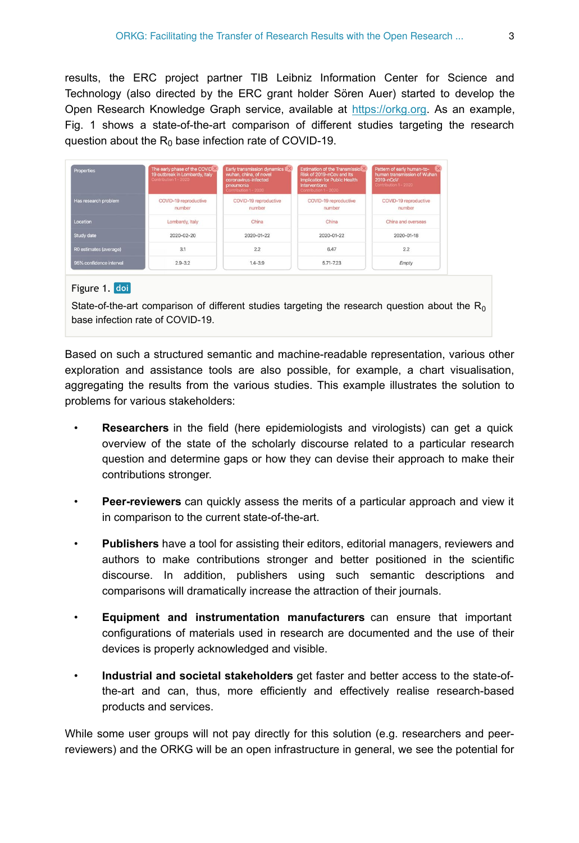results, the ERC project partner TIB Leibniz Information Center for Science and Technology (also directed by the ERC grant holder Sören Auer) started to develop the Open Research Knowledge Graph service, available at <https://orkg.org>. As an example, Fig. 1 shows a state-of-the-art comparison of different studies targeting the research question about the  $R_0$  base infection rate of COVID-19.

| Properties              | The early phase of the COVID <sup>88</sup><br>19 outbreak in Lombardy, Italy<br>Contribution 1 - 2020 | Early transmission dynamics in<br>wuhan, china, of novel<br>coronavirus-infected<br>pneumonia<br>Contribution 1 - 2020 | <b>Estimation of the Transmission of</b><br>Risk of 2019-nCov and Its<br><b>Implication for Public Health</b><br><b>Interventions</b><br>Contribution 1 - 2020 | Pattern of early human-to-<br>human transmission of Wuhan<br>2019-nCoV<br>Contribution 1 - 2020 |
|-------------------------|-------------------------------------------------------------------------------------------------------|------------------------------------------------------------------------------------------------------------------------|----------------------------------------------------------------------------------------------------------------------------------------------------------------|-------------------------------------------------------------------------------------------------|
| Has research problem    | COVID-19 reproductive<br>number                                                                       | COVID-19 reproductive<br>number                                                                                        | COVID-19 reproductive<br>number                                                                                                                                | COVID-19 reproductive<br>number                                                                 |
| Location                | Lombardy, Italy                                                                                       | China                                                                                                                  | China                                                                                                                                                          | China and overseas                                                                              |
| Study date              | $2020 - 02 - 20$                                                                                      | 2020-01-22                                                                                                             | $2020 - 01 - 22$                                                                                                                                               | $2020 - 01 - 18$                                                                                |
| R0 estimates (average)  | 3.1                                                                                                   | 2.2                                                                                                                    | 6.47                                                                                                                                                           | 2.2                                                                                             |
| 95% confidence interval | $2.9 - 3.2$                                                                                           | $1.4 - 3.9$                                                                                                            | 5.71-7.23                                                                                                                                                      | Empty                                                                                           |

#### Figure 1. doi

State-of-the-art comparison of different studies targeting the research question about the  $R_0$ base infection rate of COVID-19.

Based on such a structured semantic and machine-readable representation, various other exploration and assistance tools are also possible, for example, a chart visualisation, aggregating the results from the various studies. This example illustrates the solution to problems for various stakeholders:

- **Researchers** in the field (here epidemiologists and virologists) can get a quick overview of the state of the scholarly discourse related to a particular research question and determine gaps or how they can devise their approach to make their contributions stronger.
- **Peer-reviewers** can quickly assess the merits of a particular approach and view it in comparison to the current state-of-the-art.
- **Publishers** have a tool for assisting their editors, editorial managers, reviewers and authors to make contributions stronger and better positioned in the scientific discourse. In addition, publishers using such semantic descriptions and comparisons will dramatically increase the attraction of their journals.
- **Equipment and instrumentation manufacturers** can ensure that important configurations of materials used in research are documented and the use of their devices is properly acknowledged and visible.
- **Industrial and societal stakeholders** get faster and better access to the state-ofthe-art and can, thus, more efficiently and effectively realise research-based products and services.

While some user groups will not pay directly for this solution (e.g. researchers and peerreviewers) and the ORKG will be an open infrastructure in general, we see the potential for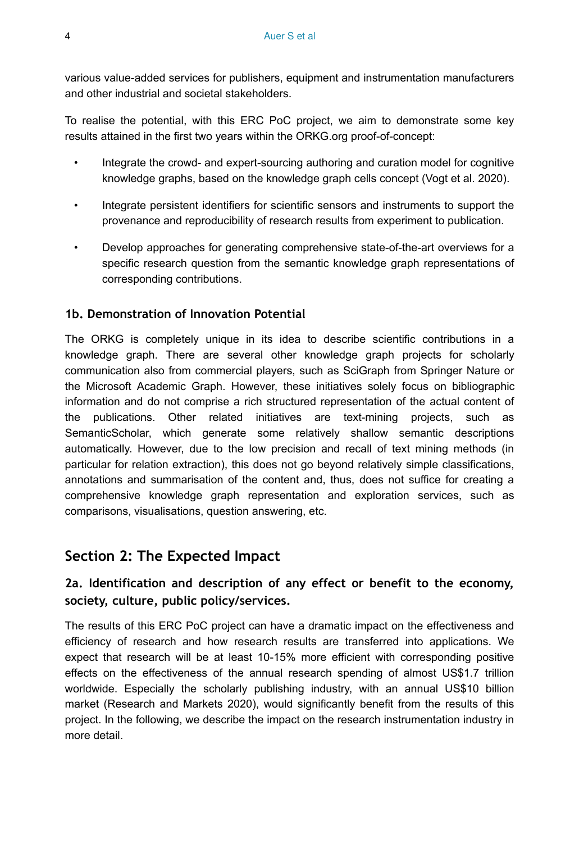various value-added services for publishers, equipment and instrumentation manufacturers and other industrial and societal stakeholders.

To realise the potential, with this ERC PoC project, we aim to demonstrate some key results attained in the first two years within the ORKG.org proof-of-concept:

- Integrate the crowd- and expert-sourcing authoring and curation model for cognitive knowledge graphs, based on the knowledge graph cells concept (Vogt et al. 2020).
- Integrate persistent identifiers for scientific sensors and instruments to support the provenance and reproducibility of research results from experiment to publication.
- Develop approaches for generating comprehensive state-of-the-art overviews for a specific research question from the semantic knowledge graph representations of corresponding contributions.

### **1b. Demonstration of Innovation Potential**

The ORKG is completely unique in its idea to describe scientific contributions in a knowledge graph. There are several other knowledge graph projects for scholarly communication also from commercial players, such as SciGraph from Springer Nature or the Microsoft Academic Graph. However, these initiatives solely focus on bibliographic information and do not comprise a rich structured representation of the actual content of the publications. Other related initiatives are text-mining projects, such as SemanticScholar, which generate some relatively shallow semantic descriptions automatically. However, due to the low precision and recall of text mining methods (in particular for relation extraction), this does not go beyond relatively simple classifications, annotations and summarisation of the content and, thus, does not suffice for creating a comprehensive knowledge graph representation and exploration services, such as comparisons, visualisations, question answering, etc.

# **Section 2: The Expected Impact**

### **2a. Identification and description of any effect or benefit to the economy, society, culture, public policy/services.**

The results of this ERC PoC project can have a dramatic impact on the effectiveness and efficiency of research and how research results are transferred into applications. We expect that research will be at least 10-15% more efficient with corresponding positive effects on the effectiveness of the annual research spending of almost US\$1.7 trillion worldwide. Especially the scholarly publishing industry, with an annual US\$10 billion market (Research and Markets 2020), would significantly benefit from the results of this project. In the following, we describe the impact on the research instrumentation industry in more detail.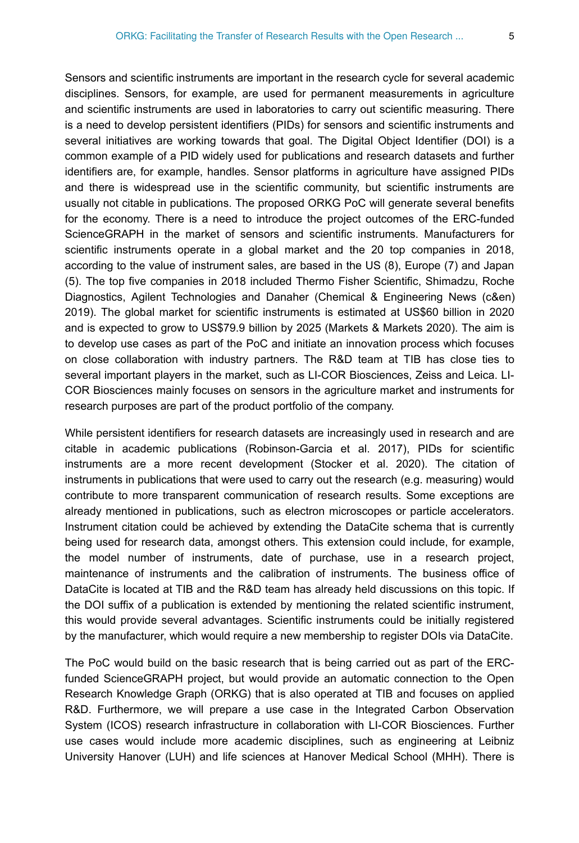Sensors and scientific instruments are important in the research cycle for several academic disciplines. Sensors, for example, are used for permanent measurements in agriculture and scientific instruments are used in laboratories to carry out scientific measuring. There is a need to develop persistent identifiers (PIDs) for sensors and scientific instruments and several initiatives are working towards that goal. The Digital Object Identifier (DOI) is a common example of a PID widely used for publications and research datasets and further identifiers are, for example, handles. Sensor platforms in agriculture have assigned PIDs and there is widespread use in the scientific community, but scientific instruments are usually not citable in publications. The proposed ORKG PoC will generate several benefits for the economy. There is a need to introduce the project outcomes of the ERC-funded ScienceGRAPH in the market of sensors and scientific instruments. Manufacturers for scientific instruments operate in a global market and the 20 top companies in 2018, according to the value of instrument sales, are based in the US (8), Europe (7) and Japan (5). The top five companies in 2018 included Thermo Fisher Scientific, Shimadzu, Roche Diagnostics, Agilent Technologies and Danaher (Chemical & Engineering News (c&en) 2019). The global market for scientific instruments is estimated at US\$60 billion in 2020 and is expected to grow to US\$79.9 billion by 2025 (Markets & Markets 2020). The aim is to develop use cases as part of the PoC and initiate an innovation process which focuses on close collaboration with industry partners. The R&D team at TIB has close ties to several important players in the market, such as LI-COR Biosciences, Zeiss and Leica. LI-COR Biosciences mainly focuses on sensors in the agriculture market and instruments for research purposes are part of the product portfolio of the company.

While persistent identifiers for research datasets are increasingly used in research and are citable in academic publications (Robinson-Garcia et al. 2017), PIDs for scientific instruments are a more recent development (Stocker et al. 2020). The citation of instruments in publications that were used to carry out the research (e.g. measuring) would contribute to more transparent communication of research results. Some exceptions are already mentioned in publications, such as electron microscopes or particle accelerators. Instrument citation could be achieved by extending the DataCite schema that is currently being used for research data, amongst others. This extension could include, for example, the model number of instruments, date of purchase, use in a research project, maintenance of instruments and the calibration of instruments. The business office of DataCite is located at TIB and the R&D team has already held discussions on this topic. If the DOI suffix of a publication is extended by mentioning the related scientific instrument, this would provide several advantages. Scientific instruments could be initially registered by the manufacturer, which would require a new membership to register DOIs via DataCite.

The PoC would build on the basic research that is being carried out as part of the ERCfunded ScienceGRAPH project, but would provide an automatic connection to the Open Research Knowledge Graph (ORKG) that is also operated at TIB and focuses on applied R&D. Furthermore, we will prepare a use case in the Integrated Carbon Observation System (ICOS) research infrastructure in collaboration with LI-COR Biosciences. Further use cases would include more academic disciplines, such as engineering at Leibniz University Hanover (LUH) and life sciences at Hanover Medical School (MHH). There is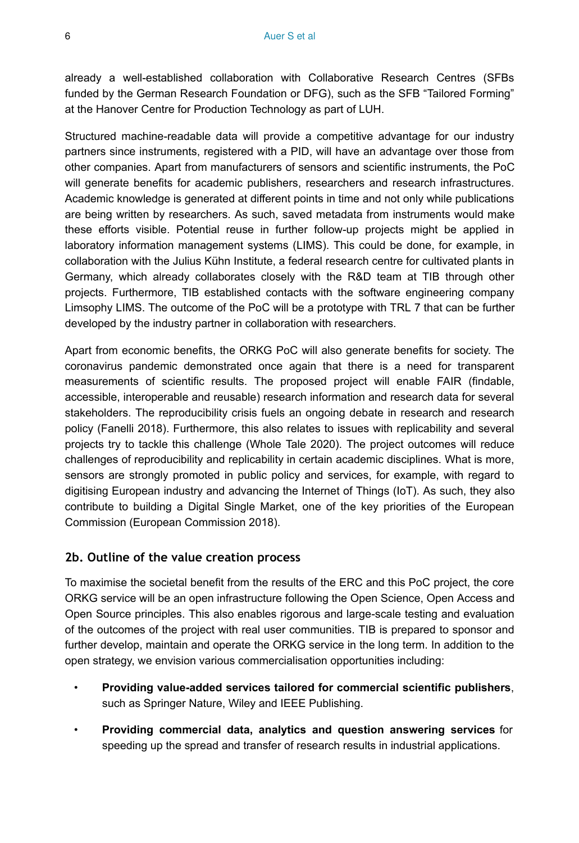already a well-established collaboration with Collaborative Research Centres (SFBs funded by the German Research Foundation or DFG), such as the SFB "Tailored Forming" at the Hanover Centre for Production Technology as part of LUH.

Structured machine-readable data will provide a competitive advantage for our industry partners since instruments, registered with a PID, will have an advantage over those from other companies. Apart from manufacturers of sensors and scientific instruments, the PoC will generate benefits for academic publishers, researchers and research infrastructures. Academic knowledge is generated at different points in time and not only while publications are being written by researchers. As such, saved metadata from instruments would make these efforts visible. Potential reuse in further follow-up projects might be applied in laboratory information management systems (LIMS). This could be done, for example, in collaboration with the Julius Kühn Institute, a federal research centre for cultivated plants in Germany, which already collaborates closely with the R&D team at TIB through other projects. Furthermore, TIB established contacts with the software engineering company Limsophy LIMS. The outcome of the PoC will be a prototype with TRL 7 that can be further developed by the industry partner in collaboration with researchers.

Apart from economic benefits, the ORKG PoC will also generate benefits for society. The coronavirus pandemic demonstrated once again that there is a need for transparent measurements of scientific results. The proposed project will enable FAIR (findable, accessible, interoperable and reusable) research information and research data for several stakeholders. The reproducibility crisis fuels an ongoing debate in research and research policy (Fanelli 2018). Furthermore, this also relates to issues with replicability and several projects try to tackle this challenge (Whole Tale 2020). The project outcomes will reduce challenges of reproducibility and replicability in certain academic disciplines. What is more, sensors are strongly promoted in public policy and services, for example, with regard to digitising European industry and advancing the Internet of Things (IoT). As such, they also contribute to building a Digital Single Market, one of the key priorities of the European Commission (European Commission 2018).

#### **2b. Outline of the value creation process**

To maximise the societal benefit from the results of the ERC and this PoC project, the core ORKG service will be an open infrastructure following the Open Science, Open Access and Open Source principles. This also enables rigorous and large-scale testing and evaluation of the outcomes of the project with real user communities. TIB is prepared to sponsor and further develop, maintain and operate the ORKG service in the long term. In addition to the open strategy, we envision various commercialisation opportunities including:

- **Providing value-added services tailored for commercial scientific publishers**, such as Springer Nature, Wiley and IEEE Publishing.
- **Providing commercial data, analytics and question answering services** for speeding up the spread and transfer of research results in industrial applications.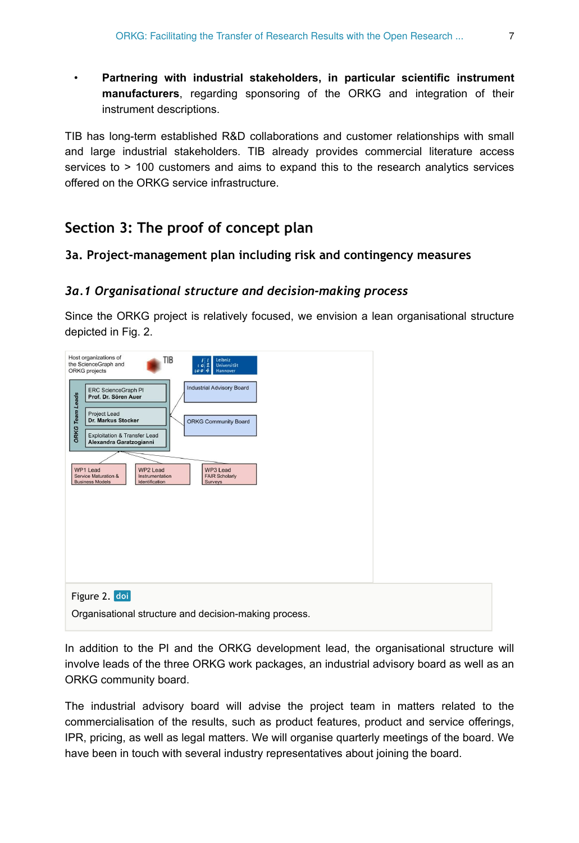• **Partnering with industrial stakeholders, in particular scientific instrument manufacturers**, regarding sponsoring of the ORKG and integration of their instrument descriptions.

TIB has long-term established R&D collaborations and customer relationships with small and large industrial stakeholders. TIB already provides commercial literature access services to > 100 customers and aims to expand this to the research analytics services offered on the ORKG service infrastructure.

### **Section 3: The proof of concept plan**

#### **3a. Project-management plan including risk and contingency measures**

#### *3a.1 Organisational structure and decision-making process*

Since the ORKG project is relatively focused, we envision a lean organisational structure depicted in Fig. 2.



In addition to the PI and the ORKG development lead, the organisational structure will involve leads of the three ORKG work packages, an industrial advisory board as well as an ORKG community board.

The industrial advisory board will advise the project team in matters related to the commercialisation of the results, such as product features, product and service offerings, IPR, pricing, as well as legal matters. We will organise quarterly meetings of the board. We have been in touch with several industry representatives about joining the board.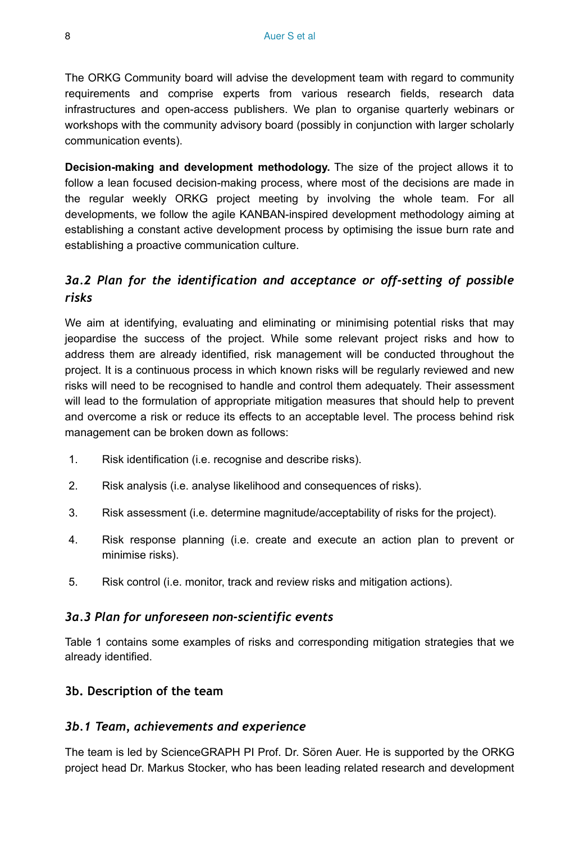The ORKG Community board will advise the development team with regard to community requirements and comprise experts from various research fields, research data infrastructures and open-access publishers. We plan to organise quarterly webinars or workshops with the community advisory board (possibly in conjunction with larger scholarly communication events).

**Decision-making and development methodology.** The size of the project allows it to follow a lean focused decision-making process, where most of the decisions are made in the regular weekly ORKG project meeting by involving the whole team. For all developments, we follow the agile KANBAN-inspired development methodology aiming at establishing a constant active development process by optimising the issue burn rate and establishing a proactive communication culture.

### *3a.2 Plan for the identification and acceptance or off-setting of possible risks*

We aim at identifying, evaluating and eliminating or minimising potential risks that may jeopardise the success of the project. While some relevant project risks and how to address them are already identified, risk management will be conducted throughout the project. It is a continuous process in which known risks will be regularly reviewed and new risks will need to be recognised to handle and control them adequately. Their assessment will lead to the formulation of appropriate mitigation measures that should help to prevent and overcome a risk or reduce its effects to an acceptable level. The process behind risk management can be broken down as follows:

- 1. Risk identification (i.e. recognise and describe risks).
- 2. Risk analysis (i.e. analyse likelihood and consequences of risks).
- 3. Risk assessment (i.e. determine magnitude/acceptability of risks for the project).
- 4. Risk response planning (i.e. create and execute an action plan to prevent or minimise risks).
- 5. Risk control (i.e. monitor, track and review risks and mitigation actions).

#### *3a.3 Plan for unforeseen non-scientific events*

Table 1 contains some examples of risks and corresponding mitigation strategies that we already identified.

#### **3b. Description of the team**

#### *3b.1 Team, achievements and experience*

The team is led by ScienceGRAPH PI Prof. Dr. Sören Auer. He is supported by the ORKG project head Dr. Markus Stocker, who has been leading related research and development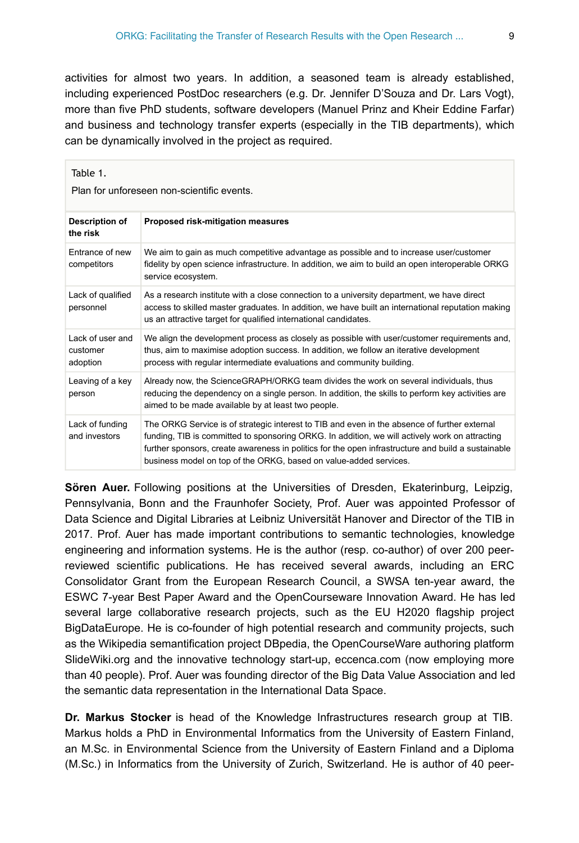activities for almost two years. In addition, a seasoned team is already established, including experienced PostDoc researchers (e.g. Dr. Jennifer D'Souza and Dr. Lars Vogt), more than five PhD students, software developers (Manuel Prinz and Kheir Eddine Farfar) and business and technology transfer experts (especially in the TIB departments), which can be dynamically involved in the project as required.

| Table 1.<br>Plan for unforeseen non-scientific events. |                                                                                                                                                                                                                                                                                                                                                                           |  |  |
|--------------------------------------------------------|---------------------------------------------------------------------------------------------------------------------------------------------------------------------------------------------------------------------------------------------------------------------------------------------------------------------------------------------------------------------------|--|--|
| Description of<br>the risk                             | Proposed risk-mitigation measures                                                                                                                                                                                                                                                                                                                                         |  |  |
| Entrance of new<br>competitors                         | We aim to gain as much competitive advantage as possible and to increase user/customer<br>fidelity by open science infrastructure. In addition, we aim to build an open interoperable ORKG<br>service ecosystem.                                                                                                                                                          |  |  |
| Lack of qualified<br>personnel                         | As a research institute with a close connection to a university department, we have direct<br>access to skilled master graduates. In addition, we have built an international reputation making<br>us an attractive target for qualified international candidates.                                                                                                        |  |  |
| Lack of user and<br>customer<br>adoption               | We align the development process as closely as possible with user/customer requirements and,<br>thus, aim to maximise adoption success. In addition, we follow an iterative development<br>process with regular intermediate evaluations and community building.                                                                                                          |  |  |
| Leaving of a key<br>person                             | Already now, the ScienceGRAPH/ORKG team divides the work on several individuals, thus<br>reducing the dependency on a single person. In addition, the skills to perform key activities are<br>aimed to be made available by at least two people.                                                                                                                          |  |  |
| Lack of funding<br>and investors                       | The ORKG Service is of strategic interest to TIB and even in the absence of further external<br>funding, TIB is committed to sponsoring ORKG. In addition, we will actively work on attracting<br>further sponsors, create awareness in politics for the open infrastructure and build a sustainable<br>business model on top of the ORKG, based on value-added services. |  |  |

**Sören Auer.** Following positions at the Universities of Dresden, Ekaterinburg, Leipzig, Pennsylvania, Bonn and the Fraunhofer Society, Prof. Auer was appointed Professor of Data Science and Digital Libraries at Leibniz Universität Hanover and Director of the TIB in 2017. Prof. Auer has made important contributions to semantic technologies, knowledge engineering and information systems. He is the author (resp. co-author) of over 200 peerreviewed scientific publications. He has received several awards, including an ERC Consolidator Grant from the European Research Council, a SWSA ten-year award, the ESWC 7-year Best Paper Award and the OpenCourseware Innovation Award. He has led several large collaborative research projects, such as the EU H2020 flagship project BigDataEurope. He is co-founder of high potential research and community projects, such as the Wikipedia semantification project DBpedia, the OpenCourseWare authoring platform SlideWiki.org and the innovative technology start-up, eccenca.com (now employing more than 40 people). Prof. Auer was founding director of the Big Data Value Association and led the semantic data representation in the International Data Space.

**Dr. Markus Stocker** is head of the Knowledge Infrastructures research group at TIB. Markus holds a PhD in Environmental Informatics from the University of Eastern Finland, an M.Sc. in Environmental Science from the University of Eastern Finland and a Diploma (M.Sc.) in Informatics from the University of Zurich, Switzerland. He is author of 40 peer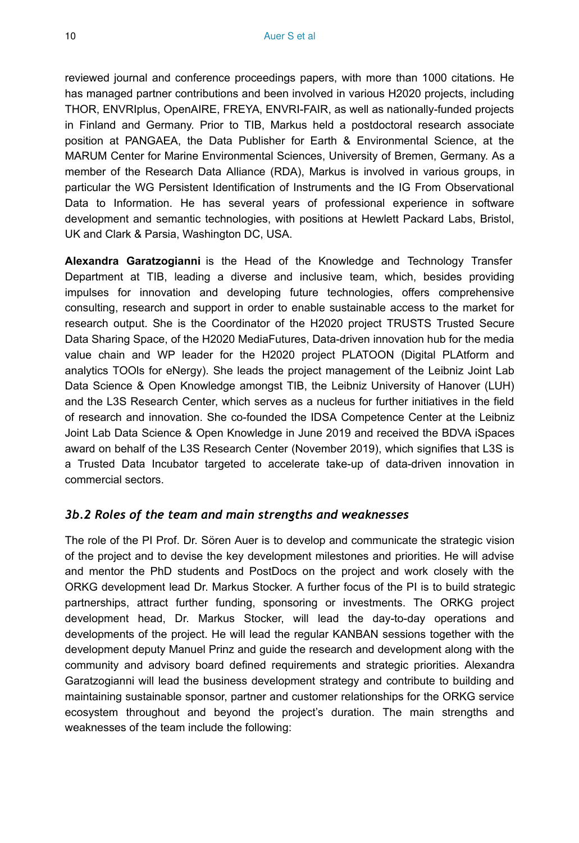reviewed journal and conference proceedings papers, with more than 1000 citations. He has managed partner contributions and been involved in various H2020 projects, including THOR, ENVRIplus, OpenAIRE, FREYA, ENVRI-FAIR, as well as nationally-funded projects in Finland and Germany. Prior to TIB, Markus held a postdoctoral research associate position at PANGAEA, the Data Publisher for Earth & Environmental Science, at the MARUM Center for Marine Environmental Sciences, University of Bremen, Germany. As a member of the Research Data Alliance (RDA), Markus is involved in various groups, in particular the WG Persistent Identification of Instruments and the IG From Observational Data to Information. He has several years of professional experience in software development and semantic technologies, with positions at Hewlett Packard Labs, Bristol, UK and Clark & Parsia, Washington DC, USA.

**Alexandra Garatzogianni** is the Head of the Knowledge and Technology Transfer Department at TIB, leading a diverse and inclusive team, which, besides providing impulses for innovation and developing future technologies, offers comprehensive consulting, research and support in order to enable sustainable access to the market for research output. She is the Coordinator of the H2020 project TRUSTS Trusted Secure Data Sharing Space, of the H2020 MediaFutures, Data-driven innovation hub for the media value chain and WP leader for the H2020 project PLATOON (Digital PLAtform and analytics TOOls for eNergy). She leads the project management of the Leibniz Joint Lab Data Science & Open Knowledge amongst TIB, the Leibniz University of Hanover (LUH) and the L3S Research Center, which serves as a nucleus for further initiatives in the field of research and innovation. She co-founded the IDSA Competence Center at the Leibniz Joint Lab Data Science & Open Knowledge in June 2019 and received the BDVA iSpaces award on behalf of the L3S Research Center (November 2019), which signifies that L3S is a Trusted Data Incubator targeted to accelerate take-up of data-driven innovation in commercial sectors.

#### *3b.2 Roles of the team and main strengths and weaknesses*

The role of the PI Prof. Dr. Sören Auer is to develop and communicate the strategic vision of the project and to devise the key development milestones and priorities. He will advise and mentor the PhD students and PostDocs on the project and work closely with the ORKG development lead Dr. Markus Stocker. A further focus of the PI is to build strategic partnerships, attract further funding, sponsoring or investments. The ORKG project development head, Dr. Markus Stocker, will lead the day-to-day operations and developments of the project. He will lead the regular KANBAN sessions together with the development deputy Manuel Prinz and guide the research and development along with the community and advisory board defined requirements and strategic priorities. Alexandra Garatzogianni will lead the business development strategy and contribute to building and maintaining sustainable sponsor, partner and customer relationships for the ORKG service ecosystem throughout and beyond the project's duration. The main strengths and weaknesses of the team include the following: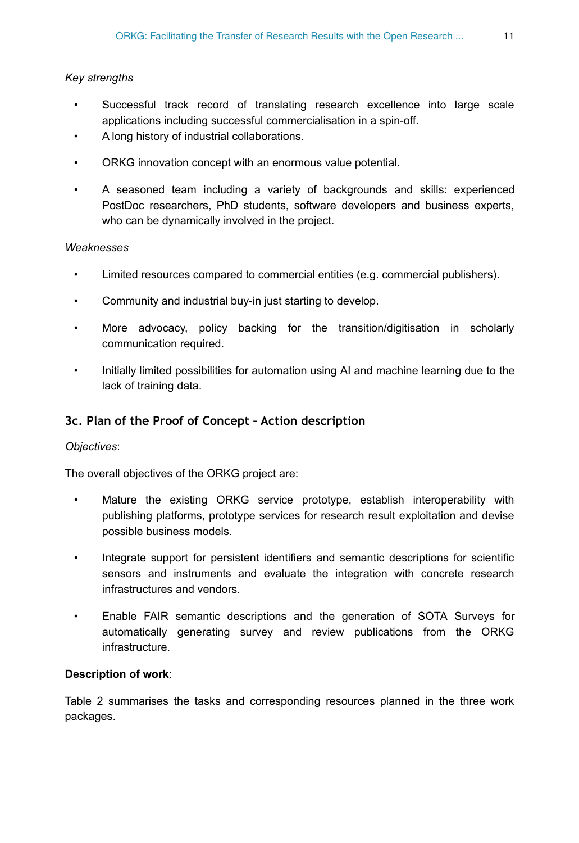#### *Key strengths*

- Successful track record of translating research excellence into large scale applications including successful commercialisation in a spin-off.
- A long history of industrial collaborations.
- ORKG innovation concept with an enormous value potential.
- A seasoned team including a variety of backgrounds and skills: experienced PostDoc researchers, PhD students, software developers and business experts, who can be dynamically involved in the project.

#### *Weaknesses*

- Limited resources compared to commercial entities (e.g. commercial publishers).
- Community and industrial buy-in just starting to develop.
- More advocacy, policy backing for the transition/digitisation in scholarly communication required.
- Initially limited possibilities for automation using AI and machine learning due to the lack of training data.

### **3c. Plan of the Proof of Concept – Action description**

#### *Objectives*:

The overall objectives of the ORKG project are:

- Mature the existing ORKG service prototype, establish interoperability with publishing platforms, prototype services for research result exploitation and devise possible business models.
- Integrate support for persistent identifiers and semantic descriptions for scientific sensors and instruments and evaluate the integration with concrete research infrastructures and vendors.
- Enable FAIR semantic descriptions and the generation of SOTA Surveys for automatically generating survey and review publications from the ORKG infrastructure.

#### **Description of work**:

Table 2 summarises the tasks and corresponding resources planned in the three work packages.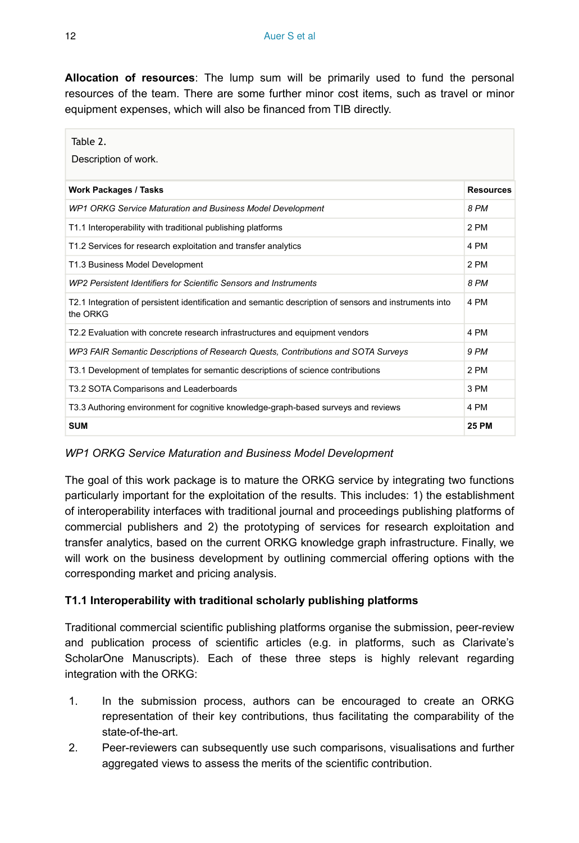**Allocation of resources**: The lump sum will be primarily used to fund the personal resources of the team. There are some further minor cost items, such as travel or minor equipment expenses, which will also be financed from TIB directly.

| Table 2.<br>Description of work.                                                                                   |                  |
|--------------------------------------------------------------------------------------------------------------------|------------------|
| <b>Work Packages / Tasks</b>                                                                                       | <b>Resources</b> |
| WP1 ORKG Service Maturation and Business Model Development                                                         | 8 PM             |
| T1.1 Interoperability with traditional publishing platforms                                                        | 2 PM             |
| T1.2 Services for research exploitation and transfer analytics                                                     | 4 PM             |
| T1.3 Business Model Development                                                                                    | 2 PM             |
| WP2 Persistent Identifiers for Scientific Sensors and Instruments                                                  | 8 PM             |
| T2.1 Integration of persistent identification and semantic description of sensors and instruments into<br>the ORKG | 4 PM             |
| T2.2 Evaluation with concrete research infrastructures and equipment vendors                                       | 4 PM             |
| WP3 FAIR Semantic Descriptions of Research Quests, Contributions and SOTA Surveys                                  | 9 PM             |
| T3.1 Development of templates for semantic descriptions of science contributions                                   | 2 PM             |
| T3.2 SOTA Comparisons and Leaderboards                                                                             | 3 PM             |
| T3.3 Authoring environment for cognitive knowledge-graph-based surveys and reviews                                 | 4 PM             |
| <b>SUM</b>                                                                                                         | <b>25 PM</b>     |

#### *WP1 ORKG Service Maturation and Business Model Development*

The goal of this work package is to mature the ORKG service by integrating two functions particularly important for the exploitation of the results. This includes: 1) the establishment of interoperability interfaces with traditional journal and proceedings publishing platforms of commercial publishers and 2) the prototyping of services for research exploitation and transfer analytics, based on the current ORKG knowledge graph infrastructure. Finally, we will work on the business development by outlining commercial offering options with the corresponding market and pricing analysis.

#### **T1.1 Interoperability with traditional scholarly publishing platforms**

Traditional commercial scientific publishing platforms organise the submission, peer-review and publication process of scientific articles (e.g. in platforms, such as Clarivate's ScholarOne Manuscripts). Each of these three steps is highly relevant regarding integration with the ORKG:

- 1. In the submission process, authors can be encouraged to create an ORKG representation of their key contributions, thus facilitating the comparability of the state-of-the-art.
- 2. Peer-reviewers can subsequently use such comparisons, visualisations and further aggregated views to assess the merits of the scientific contribution.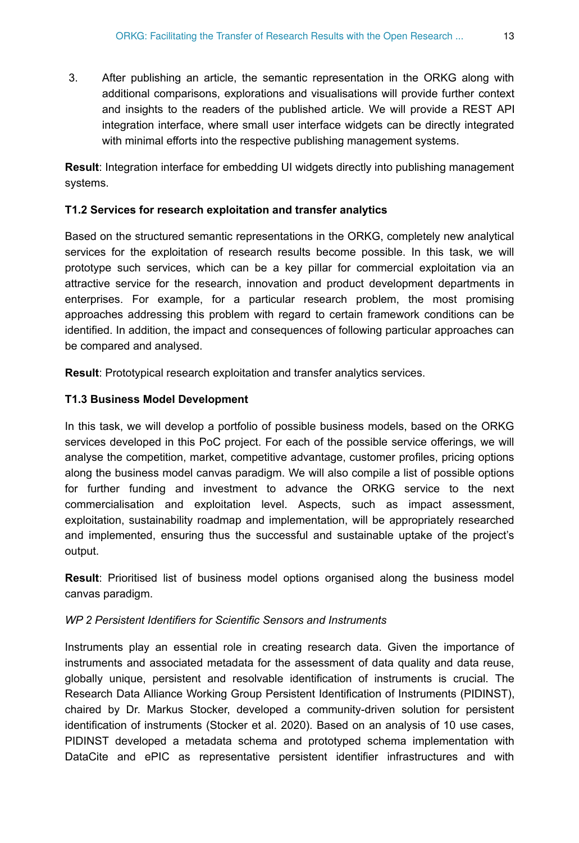3. After publishing an article, the semantic representation in the ORKG along with additional comparisons, explorations and visualisations will provide further context and insights to the readers of the published article. We will provide a REST API integration interface, where small user interface widgets can be directly integrated with minimal efforts into the respective publishing management systems.

**Result**: Integration interface for embedding UI widgets directly into publishing management systems.

#### **T1.2 Services for research exploitation and transfer analytics**

Based on the structured semantic representations in the ORKG, completely new analytical services for the exploitation of research results become possible. In this task, we will prototype such services, which can be a key pillar for commercial exploitation via an attractive service for the research, innovation and product development departments in enterprises. For example, for a particular research problem, the most promising approaches addressing this problem with regard to certain framework conditions can be identified. In addition, the impact and consequences of following particular approaches can be compared and analysed.

**Result**: Prototypical research exploitation and transfer analytics services.

#### **T1.3 Business Model Development**

In this task, we will develop a portfolio of possible business models, based on the ORKG services developed in this PoC project. For each of the possible service offerings, we will analyse the competition, market, competitive advantage, customer profiles, pricing options along the business model canvas paradigm. We will also compile a list of possible options for further funding and investment to advance the ORKG service to the next commercialisation and exploitation level. Aspects, such as impact assessment, exploitation, sustainability roadmap and implementation, will be appropriately researched and implemented, ensuring thus the successful and sustainable uptake of the project's output.

**Result**: Prioritised list of business model options organised along the business model canvas paradigm.

#### *WP 2 Persistent Identifiers for Scientific Sensors and Instruments*

Instruments play an essential role in creating research data. Given the importance of instruments and associated metadata for the assessment of data quality and data reuse, globally unique, persistent and resolvable identification of instruments is crucial. The Research Data Alliance Working Group Persistent Identification of Instruments (PIDINST), chaired by Dr. Markus Stocker, developed a community-driven solution for persistent identification of instruments (Stocker et al. 2020). Based on an analysis of 10 use cases, PIDINST developed a metadata schema and prototyped schema implementation with DataCite and ePIC as representative persistent identifier infrastructures and with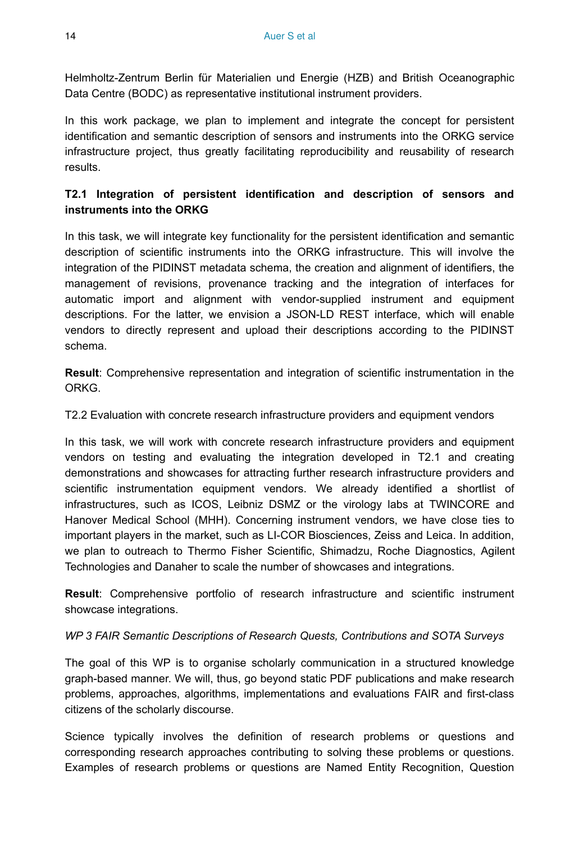Helmholtz-Zentrum Berlin für Materialien und Energie (HZB) and British Oceanographic Data Centre (BODC) as representative institutional instrument providers.

In this work package, we plan to implement and integrate the concept for persistent identification and semantic description of sensors and instruments into the ORKG service infrastructure project, thus greatly facilitating reproducibility and reusability of research results.

### **T2.1 Integration of persistent identification and description of sensors and instruments into the ORKG**

In this task, we will integrate key functionality for the persistent identification and semantic description of scientific instruments into the ORKG infrastructure. This will involve the integration of the PIDINST metadata schema, the creation and alignment of identifiers, the management of revisions, provenance tracking and the integration of interfaces for automatic import and alignment with vendor-supplied instrument and equipment descriptions. For the latter, we envision a JSON-LD REST interface, which will enable vendors to directly represent and upload their descriptions according to the PIDINST schema.

**Result**: Comprehensive representation and integration of scientific instrumentation in the ORKG.

T2.2 Evaluation with concrete research infrastructure providers and equipment vendors

In this task, we will work with concrete research infrastructure providers and equipment vendors on testing and evaluating the integration developed in T2.1 and creating demonstrations and showcases for attracting further research infrastructure providers and scientific instrumentation equipment vendors. We already identified a shortlist of infrastructures, such as ICOS, Leibniz DSMZ or the virology labs at TWINCORE and Hanover Medical School (MHH). Concerning instrument vendors, we have close ties to important players in the market, such as LI-COR Biosciences, Zeiss and Leica. In addition, we plan to outreach to Thermo Fisher Scientific, Shimadzu, Roche Diagnostics, Agilent Technologies and Danaher to scale the number of showcases and integrations.

**Result**: Comprehensive portfolio of research infrastructure and scientific instrument showcase integrations.

#### *WP 3 FAIR Semantic Descriptions of Research Quests, Contributions and SOTA Surveys*

The goal of this WP is to organise scholarly communication in a structured knowledge graph-based manner. We will, thus, go beyond static PDF publications and make research problems, approaches, algorithms, implementations and evaluations FAIR and first-class citizens of the scholarly discourse.

Science typically involves the definition of research problems or questions and corresponding research approaches contributing to solving these problems or questions. Examples of research problems or questions are Named Entity Recognition, Question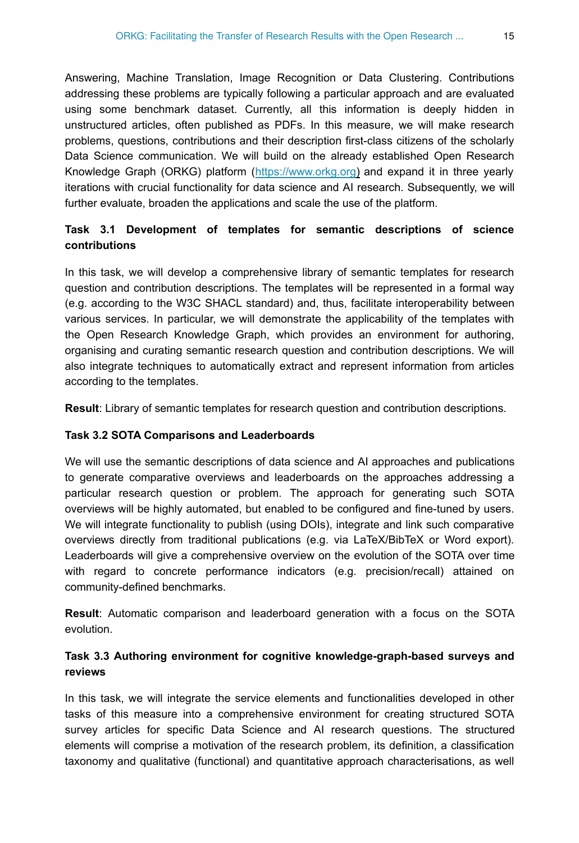Answering, Machine Translation, Image Recognition or Data Clustering. Contributions addressing these problems are typically following a particular approach and are evaluated using some benchmark dataset. Currently, all this information is deeply hidden in unstructured articles, often published as PDFs. In this measure, we will make research problems, questions, contributions and their description first-class citizens of the scholarly Data Science communication. We will build on the already established Open Research Knowledge Graph (ORKG) platform ([https://www.orkg.org\)](https://www.orkg.org) and expand it in three yearly iterations with crucial functionality for data science and AI research. Subsequently, we will further evaluate, broaden the applications and scale the use of the platform.

### **Task 3.1 Development of templates for semantic descriptions of science contributions**

In this task, we will develop a comprehensive library of semantic templates for research question and contribution descriptions. The templates will be represented in a formal way (e.g. according to the W3C SHACL standard) and, thus, facilitate interoperability between various services. In particular, we will demonstrate the applicability of the templates with the Open Research Knowledge Graph, which provides an environment for authoring, organising and curating semantic research question and contribution descriptions. We will also integrate techniques to automatically extract and represent information from articles according to the templates.

**Result**: Library of semantic templates for research question and contribution descriptions.

#### **Task 3.2 SOTA Comparisons and Leaderboards**

We will use the semantic descriptions of data science and AI approaches and publications to generate comparative overviews and leaderboards on the approaches addressing a particular research question or problem. The approach for generating such SOTA overviews will be highly automated, but enabled to be configured and fine-tuned by users. We will integrate functionality to publish (using DOIs), integrate and link such comparative overviews directly from traditional publications (e.g. via LaTeX/BibTeX or Word export). Leaderboards will give a comprehensive overview on the evolution of the SOTA over time with regard to concrete performance indicators (e.g. precision/recall) attained on community-defined benchmarks.

**Result**: Automatic comparison and leaderboard generation with a focus on the SOTA evolution.

### **Task 3.3 Authoring environment for cognitive knowledge-graph-based surveys and reviews**

In this task, we will integrate the service elements and functionalities developed in other tasks of this measure into a comprehensive environment for creating structured SOTA survey articles for specific Data Science and AI research questions. The structured elements will comprise a motivation of the research problem, its definition, a classification taxonomy and qualitative (functional) and quantitative approach characterisations, as well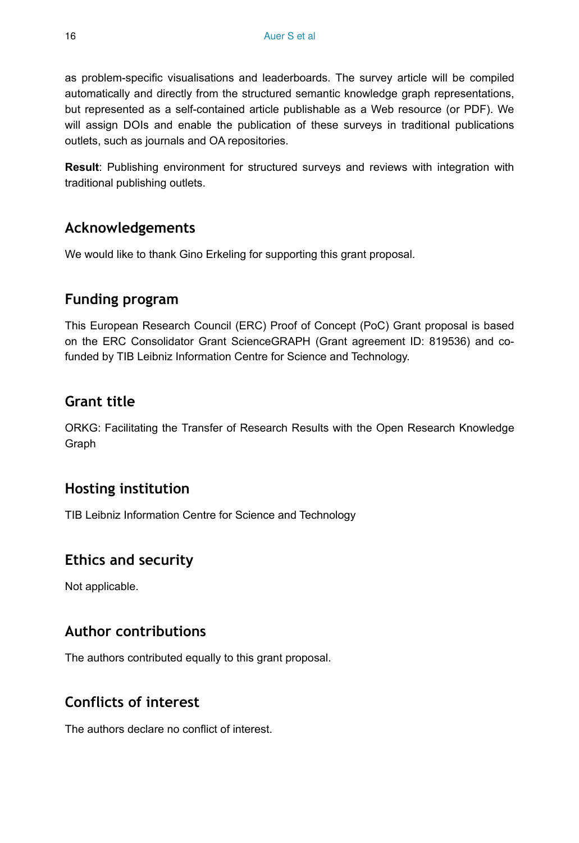as problem-specific visualisations and leaderboards. The survey article will be compiled automatically and directly from the structured semantic knowledge graph representations, but represented as a self-contained article publishable as a Web resource (or PDF). We will assign DOIs and enable the publication of these surveys in traditional publications outlets, such as journals and OA repositories.

**Result**: Publishing environment for structured surveys and reviews with integration with traditional publishing outlets.

# **Acknowledgements**

We would like to thank Gino Erkeling for supporting this grant proposal.

### **Funding program**

This European Research Council (ERC) Proof of Concept (PoC) Grant proposal is based on the ERC Consolidator Grant ScienceGRAPH (Grant agreement ID: 819536) and cofunded by TIB Leibniz Information Centre for Science and Technology.

# **Grant title**

ORKG: Facilitating the Transfer of Research Results with the Open Research Knowledge Graph

# **Hosting institution**

TIB Leibniz Information Centre for Science and Technology

# **Ethics and security**

Not applicable.

### **Author contributions**

The authors contributed equally to this grant proposal.

# **Conflicts of interest**

The authors declare no conflict of interest.